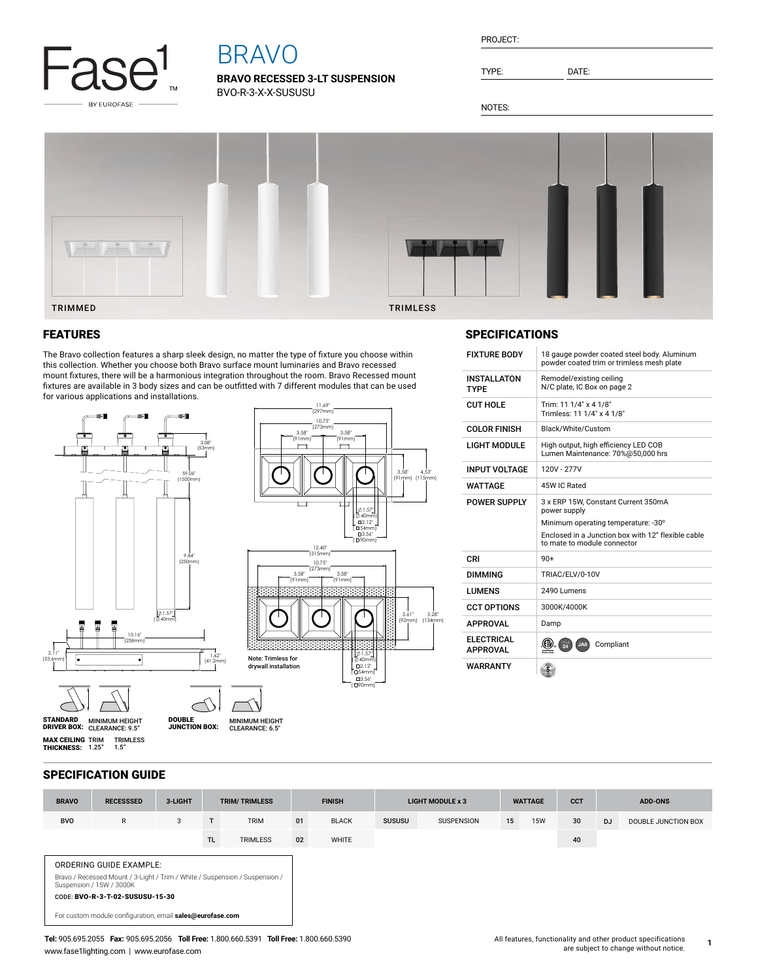

# BRAVO

**BRAVO RECESSED 3-LT SUSPENSION** BVO-R-3-X-X-SUSUSU

TYPE: DATE:

NOTES:

INSTALLATON TYPE

SPECIFICATIONS



## FEATURES

The Bravo collection features a sharp sleek design, no matter the type of fixture you choose within this collection. Whether you choose both Bravo surface mount luminaries and Bravo recessed mount fixtures, there will be a harmonious integration throughout the room. Bravo Recessed mount fixtures are available in 3 body sizes and can be outfitted with 7 different modules that can be used for various applications and installations.



| <b>CUT HOLE</b>                      | Trim: 11 1/4" x 4 1/8"<br>Trimless: 11 1/4" x 4 1/8"                                       |  |  |  |  |  |
|--------------------------------------|--------------------------------------------------------------------------------------------|--|--|--|--|--|
| <b>COLOR FINISH</b>                  | Black/White/Custom                                                                         |  |  |  |  |  |
| <b>LIGHT MODULE</b>                  | High output, high efficiency LED COB<br>Lumen Maintenance: 70%@50,000 hrs                  |  |  |  |  |  |
| <b>INPUT VOLTAGE</b>                 | 120V - 277V                                                                                |  |  |  |  |  |
| WATTAGE                              | 45W IC Rated                                                                               |  |  |  |  |  |
| <b>POWER SUPPLY</b>                  | 3 x ERP 15W, Constant Current 350mA<br>power supply<br>Minimum operating temperature: -30° |  |  |  |  |  |
|                                      | Enclosed in a Junction box with 12" flexible cable<br>to mate to module connector          |  |  |  |  |  |
| CRI                                  | $90+$                                                                                      |  |  |  |  |  |
| <b>DIMMING</b>                       | TRIAC/ELV/0-10V                                                                            |  |  |  |  |  |
| LUMENS                               | 2490 Lumens                                                                                |  |  |  |  |  |
| <b>CCT OPTIONS</b>                   | 3000K/4000K                                                                                |  |  |  |  |  |
| <b>APPROVAL</b>                      | Damp                                                                                       |  |  |  |  |  |
| <b>ELECTRICAL</b><br><b>APPROVAL</b> | Compliant<br>24<br>JA8<br>ntertek                                                          |  |  |  |  |  |
| WARRANTY                             |                                                                                            |  |  |  |  |  |

FIXTURE BODY 18 gauge powder coated steel body. Aluminum powder coated trim or trimless mesh plate

Remodel/existing ceiling N/C plate, IC Box on page 2

#### SPECIFICATION GUIDE

| <b>BRAVO</b>                                                                                            | <b>RECESSSED</b> | 3-LIGHT | <b>TRIM/TRIMLESS</b> |                 | <b>FINISH</b> |              | <b>LIGHT MODULE x 3</b> |                   | <b>WATTAGE</b> |            | <b>CCT</b> | <b>ADD-ONS</b> |                     |
|---------------------------------------------------------------------------------------------------------|------------------|---------|----------------------|-----------------|---------------|--------------|-------------------------|-------------------|----------------|------------|------------|----------------|---------------------|
| <b>BVO</b>                                                                                              | R                | 3       | $-1$                 | <b>TRIM</b>     | 01            | <b>BLACK</b> | <b>SUSUSU</b>           | <b>SUSPENSION</b> | 15             | <b>15W</b> | 30         | <b>DJ</b>      | DOUBLE JUNCTION BOX |
|                                                                                                         |                  |         | <b>TL</b>            | <b>TRIMLESS</b> | 02            | <b>WHITE</b> |                         |                   |                |            | 40         |                |                     |
| <b>ORDERING GUIDE EXAMPLE:</b>                                                                          |                  |         |                      |                 |               |              |                         |                   |                |            |            |                |                     |
| Bravo / Recessed Mount / 3-Light / Trim / White / Suspension / Suspension /<br>Suspension / 15W / 3000K |                  |         |                      |                 |               |              |                         |                   |                |            |            |                |                     |
| CODE: BVO-R-3-T-02-SUSUSU-15-30                                                                         |                  |         |                      |                 |               |              |                         |                   |                |            |            |                |                     |
| For custom module configuration, email sales@eurofase.com                                               |                  |         |                      |                 |               |              |                         |                   |                |            |            |                |                     |

**1**